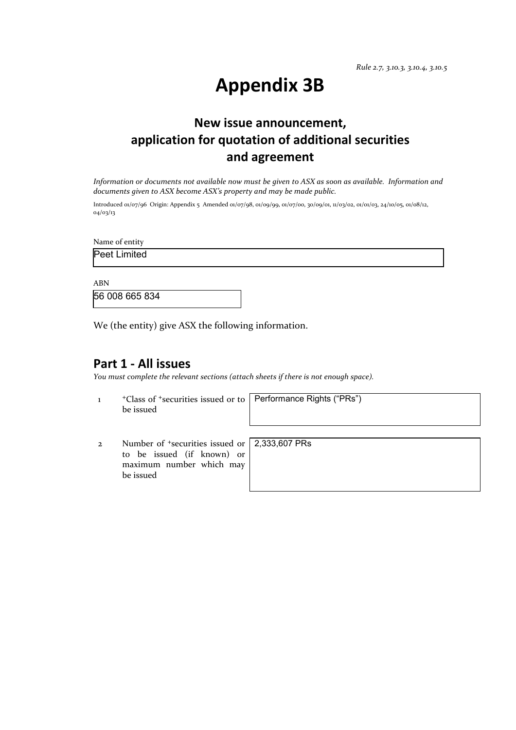# **Appendix 3B**

# **New issue announcement, application for quotation of additional securities and agreement**

*Information or documents not available now must be given to ASX as soon as available. Information and documents given to ASX become ASX's property and may be made public.*

Introduced 01/07/96 Origin: Appendix 5 Amended 01/07/98, 01/09/99, 01/07/00, 30/09/01, 11/03/02, 01/01/03, 24/10/05, 01/08/12, 04/03/13

Name of entity

Peet Limited

ABN

56 008 665 834

We (the entity) give ASX the following information.

### **Part 1 - All issues**

*You must complete the relevant sections (attach sheets if there is not enough space).*

1 +Class of +securities issued or to be issued

Performance Rights ("PRs")

2 Number of +securities issued or to be issued (if known) or maximum number which may be issued

2,333,607 PRs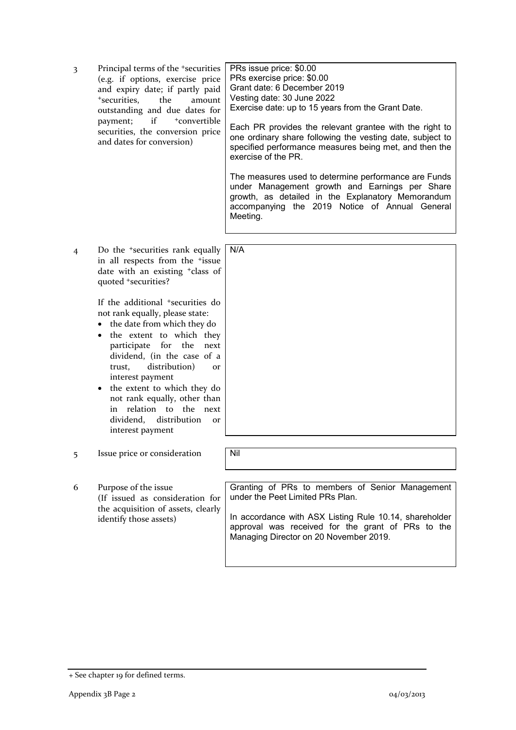3 Principal terms of the +securities (e.g. if options, exercise price and expiry date; if partly paid +securities, the amount outstanding and due dates for payment; if  $+$ convertible securities, the conversion price and dates for conversion)

PRs issue price: \$0.00 PRs exercise price: \$0.00 Grant date: 6 December 2019 Vesting date: 30 June 2022 Exercise date: up to 15 years from the Grant Date.

Each PR provides the relevant grantee with the right to one ordinary share following the vesting date, subject to specified performance measures being met, and then the exercise of the PR.

The measures used to determine performance are Funds under Management growth and Earnings per Share growth, as detailed in the Explanatory Memorandum accompanying the 2019 Notice of Annual General Meeting.

4 Do the +securities rank equally in all respects from the <sup>+</sup>issue date with an existing +class of quoted +securities? N/A

> If the additional <sup>+</sup>securities do not rank equally, please state:

- the date from which they do
- the extent to which they participate for the next dividend, (in the case of a trust, distribution) or interest payment
- the extent to which they do not rank equally, other than in relation to the next dividend, distribution or interest payment
- 5 Issue price or consideration Nil
- 6 Purpose of the issue (If issued as consideration for the acquisition of assets, clearly identify those assets)

Granting of PRs to members of Senior Management under the Peet Limited PRs Plan.

In accordance with ASX Listing Rule 10.14, shareholder approval was received for the grant of PRs to the Managing Director on 20 November 2019.

<sup>+</sup> See chapter 19 for defined terms.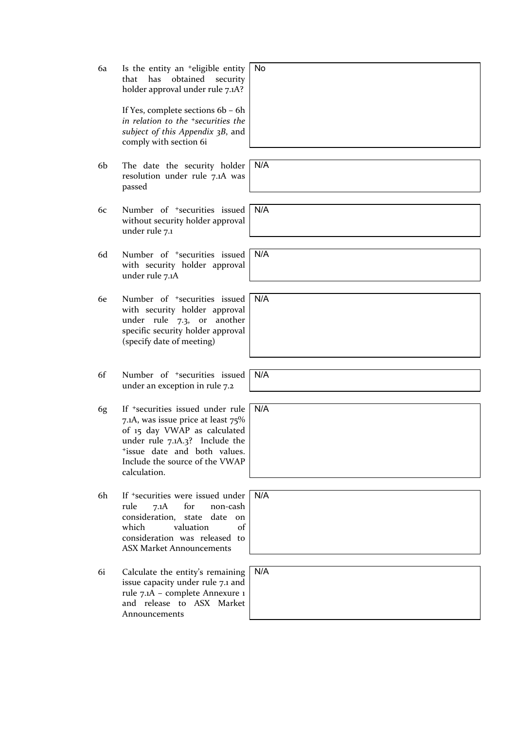6a Is the entity an +eligible entity that has obtained security holder approval under rule 7.1A?

> If Yes, complete sections 6b – 6h *in relation to the +securities the subject of this Appendix 3B*, and comply with section 6i

- 6b The date the security holder resolution under rule 7.1A was passed
- 6c Number of +securities issued without security holder approval under rule 7.1
- 6d Number of +securities issued with security holder approval under rule 7.1A
- 6e Number of +securities issued with security holder approval under rule 7.3, or another specific security holder approval (specify date of meeting)
- 6f Number of +securities issued under an exception in rule 7.2
- 6g If +securities issued under rule 7.1A, was issue price at least 75% of 15 day VWAP as calculated under rule 7.1A.3? Include the +issue date and both values. Include the source of the VWAP calculation.
- 6h If +securities were issued under rule 7.1A for non-cash consideration, state date on which valuation of consideration was released to ASX Market Announcements
- 6i Calculate the entity's remaining issue capacity under rule 7.1 and rule 7.1A – complete Annexure 1 and release to ASX Market Announcements

No

N/A

N/A

N/A

N/A

N/A

N/A

N/A

N/A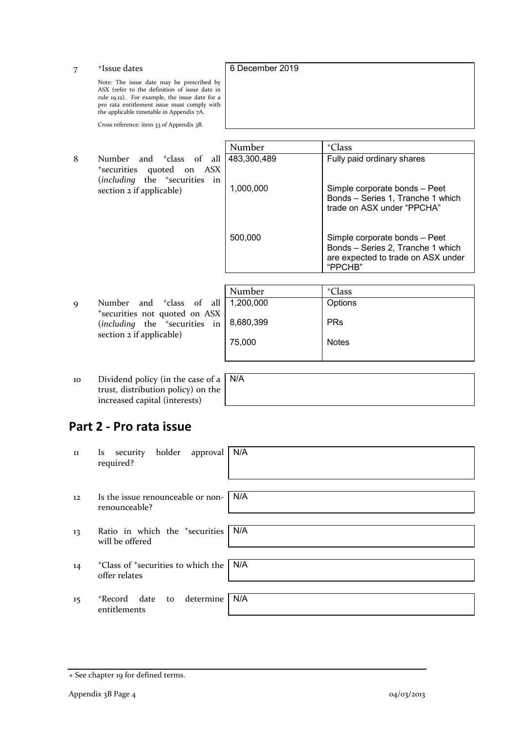| 7           | <sup>+</sup> Issue dates                                                                                                                                                                                                                | 6 December 2019 |                                                                                                                     |
|-------------|-----------------------------------------------------------------------------------------------------------------------------------------------------------------------------------------------------------------------------------------|-----------------|---------------------------------------------------------------------------------------------------------------------|
|             | Note: The issue date may be prescribed by<br>ASX (refer to the definition of issue date in<br>rule 19.12). For example, the issue date for a<br>pro rata entitlement issue must comply with<br>the applicable timetable in Appendix 7A. |                 |                                                                                                                     |
|             | Cross reference: item 33 of Appendix 3B.                                                                                                                                                                                                |                 |                                                                                                                     |
|             |                                                                                                                                                                                                                                         | Number          | <sup>+</sup> Class                                                                                                  |
| 8           | Number<br>and <sup>+</sup> class of all<br><sup>+</sup> securities<br>quoted on ASX                                                                                                                                                     | 483,300,489     | Fully paid ordinary shares                                                                                          |
|             | (including the <sup>+</sup> securities in<br>section 2 if applicable)                                                                                                                                                                   | 1,000,000       | Simple corporate bonds - Peet<br>Bonds - Series 1, Tranche 1 which<br>trade on ASX under "PPCHA"                    |
|             |                                                                                                                                                                                                                                         | 500,000         | Simple corporate bonds - Peet<br>Bonds - Series 2, Tranche 1 which<br>are expected to trade on ASX under<br>"PPCHB" |
|             |                                                                                                                                                                                                                                         |                 |                                                                                                                     |
|             |                                                                                                                                                                                                                                         | Number          | <sup>+</sup> Class                                                                                                  |
| $\mathbf Q$ | and <sup>+</sup> class of<br><b>Number</b><br>all<br>*securities not quoted on ASX                                                                                                                                                      | 1,200,000       | Options                                                                                                             |
|             | (including the <sup>+</sup> securities in<br>section 2 if applicable)                                                                                                                                                                   | 8,680,399       | <b>PRs</b>                                                                                                          |
|             |                                                                                                                                                                                                                                         |                 |                                                                                                                     |

75,000

10 Dividend policy (in the case of a trust, distribution policy) on the increased capital (interests)

| N/A |  |  |  |
|-----|--|--|--|
|     |  |  |  |
|     |  |  |  |

Notes

## **Part 2 - Pro rata issue**

| 11                | security holder approval<br>Is.<br>required?                                | N/A |
|-------------------|-----------------------------------------------------------------------------|-----|
| $12 \overline{ }$ | Is the issue renounceable or non-<br>renounceable?                          | N/A |
| 13                | Ratio in which the <sup>+</sup> securities<br>will be offered               | N/A |
| 14                | <sup>+</sup> Class of <sup>+</sup> securities to which the<br>offer relates | N/A |
| 15                | determine<br>+Record date<br>to<br>entitlements                             | N/A |

<sup>+</sup> See chapter 19 for defined terms.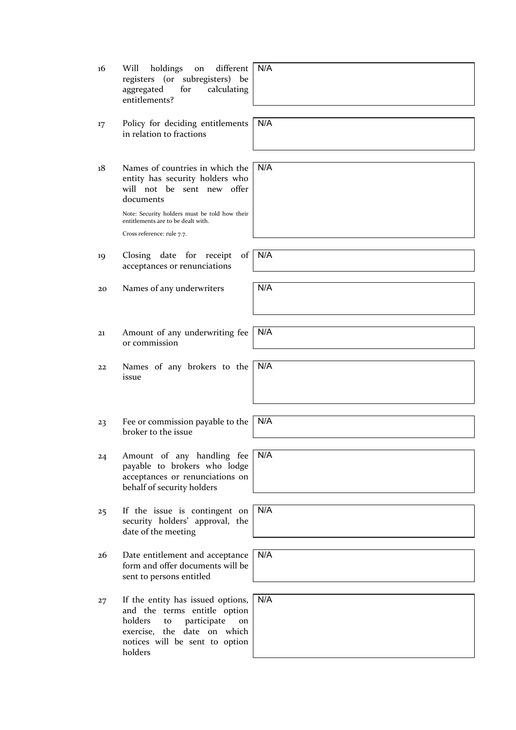| 16 | holdings<br>different<br>Will<br>on<br>registers (or subregisters) be<br>for<br>aggregated<br>calculating<br>entitlements?                                                                                                         | N/A |
|----|------------------------------------------------------------------------------------------------------------------------------------------------------------------------------------------------------------------------------------|-----|
| 17 | Policy for deciding entitlements<br>in relation to fractions                                                                                                                                                                       | N/A |
| 18 | Names of countries in which the<br>entity has security holders who<br>will not be sent new offer<br>documents<br>Note: Security holders must be told how their<br>entitlements are to be dealt with.<br>Cross reference: rule 7.7. | N/A |
| 19 | Closing date for receipt<br>of<br>acceptances or renunciations                                                                                                                                                                     | N/A |
| 20 | Names of any underwriters                                                                                                                                                                                                          | N/A |
|    |                                                                                                                                                                                                                                    |     |
| 21 | Amount of any underwriting fee<br>or commission                                                                                                                                                                                    | N/A |
| 22 | Names of any brokers to the<br>issue                                                                                                                                                                                               | N/A |
| 23 | Fee or commission payable to the<br>broker to the issue                                                                                                                                                                            | N/A |
| 24 | Amount of any handling fee<br>payable to brokers who lodge<br>acceptances or renunciations on<br>behalf of security holders                                                                                                        | N/A |
| 25 | If the issue is contingent on<br>security holders' approval, the<br>date of the meeting                                                                                                                                            | N/A |
| 26 | Date entitlement and acceptance<br>form and offer documents will be<br>sent to persons entitled                                                                                                                                    | N/A |
| 27 | If the entity has issued options,<br>and the terms entitle option<br>holders<br>participate<br>to<br>on<br>exercise, the date on which<br>notices will be sent to option<br>holders                                                | N/A |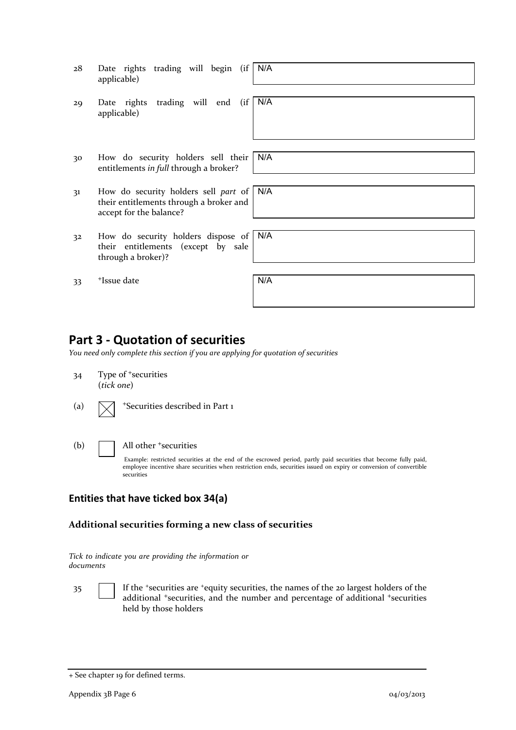| 28             | Date rights trading will begin (if<br>applicable)                                                          | N/A |
|----------------|------------------------------------------------------------------------------------------------------------|-----|
| 29             | Date rights trading will end (if<br>applicable)                                                            | N/A |
| 30             | How do security holders sell their<br>entitlements in full through a broker?                               | N/A |
| 3 <sup>1</sup> | How do security holders sell part of<br>their entitlements through a broker and<br>accept for the balance? | N/A |
| 32             | How do security holders dispose of N/A<br>their entitlements (except by sale<br>through a broker)?         |     |
| 33             | <sup>+</sup> Issue date                                                                                    | N/A |

### **Part 3 - Quotation of securities**

*You need only complete this section if you are applying for quotation of securities*

- 34 Type of <sup>+</sup>securities (*tick one*)
- (a)  $\sqrt{\phantom{a}}$  +Securities described in Part 1
- (b) **All other +securities**

Example: restricted securities at the end of the escrowed period, partly paid securities that become fully paid, employee incentive share securities when restriction ends, securities issued on expiry or conversion of convertible securities

### **Entities that have ticked box 34(a)**

### **Additional securities forming a new class of securities**

| Tick to indicate you are providing the information or |  |  |
|-------------------------------------------------------|--|--|
| documents                                             |  |  |

35 If the +securities are +equity securities, the names of the 20 largest holders of the additional <sup>+</sup>securities, and the number and percentage of additional <sup>+</sup>securities held by those holders

<sup>+</sup> See chapter 19 for defined terms.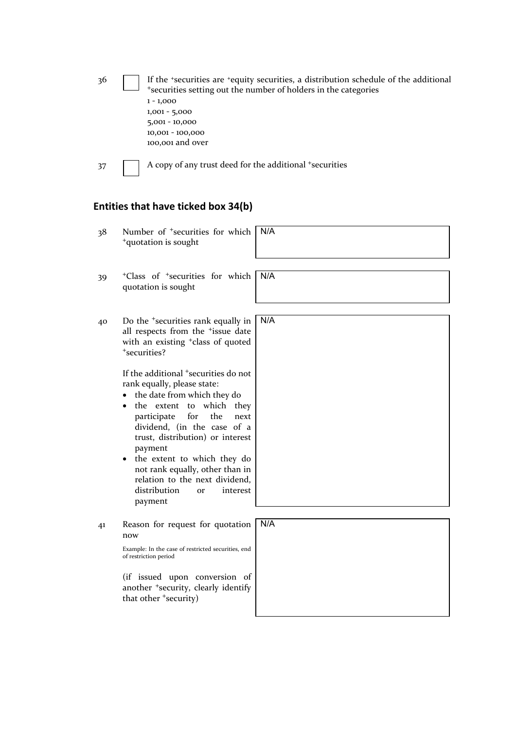| 36 | If the *securities are *equity securities, a distribution schedule of the additional |
|----|--------------------------------------------------------------------------------------|
|    | *securities setting out the number of holders in the categories                      |
|    | $1 - 1,000$                                                                          |
|    | $1,001 - 5,000$                                                                      |
|    | $5,001 - 10,000$                                                                     |
|    | 10,001 - 100,000                                                                     |
|    | 100,001 and over                                                                     |
|    |                                                                                      |

**Entities that have ticked box 34(b)**

37 A copy of any trust deed for the additional +securities

### 38 Number of <sup>+</sup>securities for which <sup>+</sup>quotation is sought N/A 39 <sup>+</sup>Class of <sup>+</sup>securities for which quotation is sought N/A 40 Do the <sup>+</sup>securities rank equally in all respects from the <sup>+</sup>issue date with an existing <sup>+</sup>class of quoted <sup>+</sup>securities? If the additional <sup>+</sup>securities do not rank equally, please state: • the date from which they do • the extent to which they participate for the next dividend, (in the case of a trust, distribution) or interest payment • the extent to which they do not rank equally, other than in relation to the next dividend, distribution or interest payment N/A 41 Reason for request for quotation now Example: In the case of restricted securities, end of restriction period (if issued upon conversion of another <sup>+</sup>security, clearly identify that other <sup>+</sup>security) N/A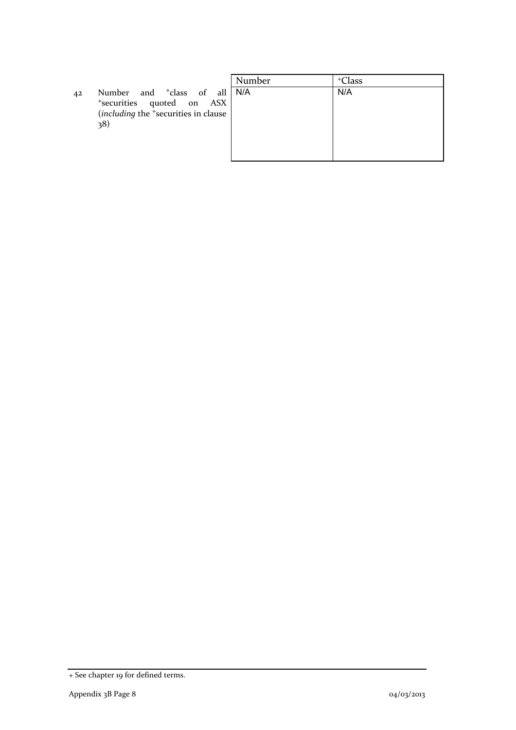42 Number and <sup>+</sup>class of all <sup>+</sup>securities quoted on ASX (*including* the <sup>+</sup>securities in clause 38)

|    | Number | <sup>+</sup> Class |
|----|--------|--------------------|
|    | N/A    | N/A                |
| ŕ. |        |                    |
| ŗ  |        |                    |
|    |        |                    |
|    |        |                    |
|    |        |                    |
|    |        |                    |

<sup>+</sup> See chapter 19 for defined terms.